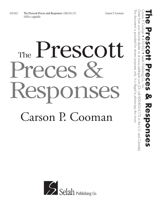## The Prescott Preces & Responses Carson P. Cooman



This document is provided for review purposes only.

This document is provided for review purposes only. It is illegal to photocopy this music

Order from your favorite dealer or at www.selahpub.com (Or call 800-852-6172 in the U.S. and Canada)

Order from your favorite dealer or at www.selahpub.com (Or call 800-852-6172 in the U.S. and Canada)

*It is illegal to photocopy this music.*

Carson P. Cooman • 410--922 • Selah Publishing Co., Inc. **The Prescott Preces & Responses**

D

**Responses**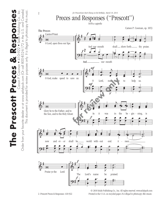

**The Prescott Preces & Responses** Carson P. Cooman • 410--922 • Selah Publishing Co., Inc.

The Prescott Preces

Carson P. Cooman

& Responses

 $\bullet$  410-922  $\bullet$  Selan Publishing Co., Inc. 800-852-6172 in the U.S. and Canada)

Order from your favorite dealer or at www.selahpub.com (Or call 800-852-6172 in the U.S. and Canada)

Order from your favorite dealer or at www.selahpub.com (Or call

© 2018 Selah Publishing Co., Inc. All rights reserved. www.selahpub.com<br>A10,022 Printed in the U.S.A. on regular paper. It is illegal to photocopy this mayoic <sup>œ</sup> . <sup>œ</sup> <sup>J</sup> œ . ˙ ˙ Printed in the U.S.A. on recycled paper. *It is illegal to photocopy this music.*  Printed in the U.S.A. on recycled paper. *It is illegal to photocopy this music.*. .<br>d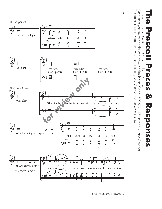



This document is provided for review purposes only.

This document is provided for review purposes only. It is illegal to photocopy this music.

*It is illegal to photocopy this music.*